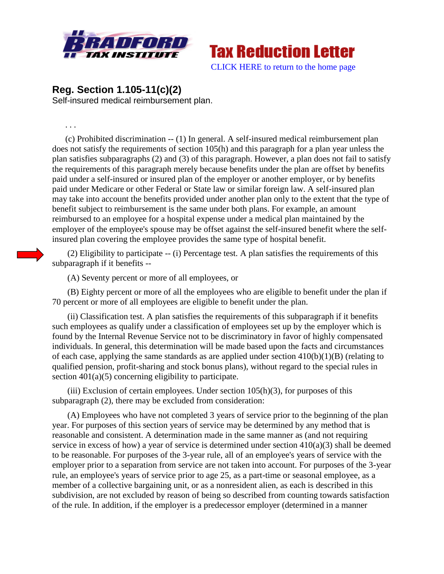



**Reg. Section 1.105-11(c)(2)** Self-insured medical reimbursement plan.

. . .

(c) Prohibited discrimination -- (1) In general. A self-insured medical reimbursement plan does not satisfy the requirements of section 105(h) and this paragraph for a plan year unless the plan satisfies subparagraphs (2) and (3) of this paragraph. However, a plan does not fail to satisfy the requirements of this paragraph merely because benefits under the plan are offset by benefits paid under a self-insured or insured plan of the employer or another employer, or by benefits paid under Medicare or other Federal or State law or similar foreign law. A self-insured plan may take into account the benefits provided under another plan only to the extent that the type of benefit subject to reimbursement is the same under both plans. For example, an amount reimbursed to an employee for a hospital expense under a medical plan maintained by the employer of the employee's spouse may be offset against the self-insured benefit where the selfinsured plan covering the employee provides the same type of hospital benefit.

(2) Eligibility to participate -- (i) Percentage test. A plan satisfies the requirements of this subparagraph if it benefits --

(A) Seventy percent or more of all employees, or

(B) Eighty percent or more of all the employees who are eligible to benefit under the plan if 70 percent or more of all employees are eligible to benefit under the plan.

(ii) Classification test. A plan satisfies the requirements of this subparagraph if it benefits such employees as qualify under a classification of employees set up by the employer which is found by the Internal Revenue Service not to be discriminatory in favor of highly compensated individuals. In general, this determination will be made based upon the facts and circumstances of each case, applying the same standards as are applied under section  $410(b)(1)(B)$  (relating to qualified pension, profit-sharing and stock bonus plans), without regard to the special rules in section  $401(a)(5)$  concerning eligibility to participate.

(iii) Exclusion of certain employees. Under section  $105(h)(3)$ , for purposes of this subparagraph (2), there may be excluded from consideration:

(A) Employees who have not completed 3 years of service prior to the beginning of the plan year. For purposes of this section years of service may be determined by any method that is reasonable and consistent. A determination made in the same manner as (and not requiring service in excess of how) a year of service is determined under section 410(a)(3) shall be deemed to be reasonable. For purposes of the 3-year rule, all of an employee's years of service with the employer prior to a separation from service are not taken into account. For purposes of the 3-year rule, an employee's years of service prior to age 25, as a part-time or seasonal employee, as a member of a collective bargaining unit, or as a nonresident alien, as each is described in this subdivision, are not excluded by reason of being so described from counting towards satisfaction of the rule. In addition, if the employer is a predecessor employer (determined in a manner